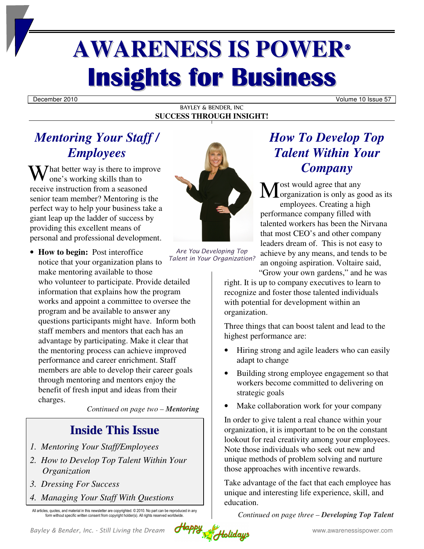# **AWARENESS IS POWER® Insights for Business**

December 2010 Volume 10 Issue 57

#### BAYLEY & BENDER, INC **SUCCESS THROUGH INSIGHT!**

## *Mentoring Your Staff / Employees*

What better way is there to improve<br>one's working skills than to one's working skills than to receive instruction from a seasoned senior team member? Mentoring is the perfect way to help your business take a giant leap up the ladder of success by providing this excellent means of personal and professional development.

- **How to begin:** Post interoffice notice that your organization plans to make mentoring available to those
	- who volunteer to participate. Provide detailed information that explains how the program works and appoint a committee to oversee the program and be available to answer any questions participants might have. Inform both staff members and mentors that each has an advantage by participating. Make it clear that the mentoring process can achieve improved performance and career enrichment. Staff members are able to develop their career goals through mentoring and mentors enjoy the benefit of fresh input and ideas from their charges.

*Continued on page two – Mentoring*

## **Inside This Issue**

- *1. Mentoring Your Staff/Employees*
- *2. How to Develop Top Talent Within Your Organization*
- *3. Dressing For Success*
- *4. Managing Your Staff With Questions*

All articles, quotes, and material in this newsletter are copyrighted. © 2010. No part can be reproduced in any form without specific written consent from copyright holder(s). All rights reserved worldwide



*Are You Developing Top Talent in Your Organization?*

# *How To Develop Top Talent Within Your Company*

ost would agree that any  $\mathbf{M}$  ost would agree that any<br>organization is only as good as its employees. Creating a high performance company filled with talented workers has been the Nirvana that most CEO's and other company leaders dream of. This is not easy to achieve by any means, and tends to be an ongoing aspiration. Voltaire said, "Grow your own gardens," and he was

right. It is up to company executives to learn to recognize and foster those talented individuals with potential for development within an organization.

Three things that can boost talent and lead to the highest performance are:

- Hiring strong and agile leaders who can easily adapt to change
- Building strong employee engagement so that workers become committed to delivering on strategic goals
- Make collaboration work for your company

In order to give talent a real chance within your organization, it is important to be on the constant lookout for real creativity among your employees. Note those individuals who seek out new and unique methods of problem solving and nurture those approaches with incentive rewards.

Take advantage of the fact that each employee has unique and interesting life experience, skill, and education.

*Continued on page three – Developing Top Talent* 

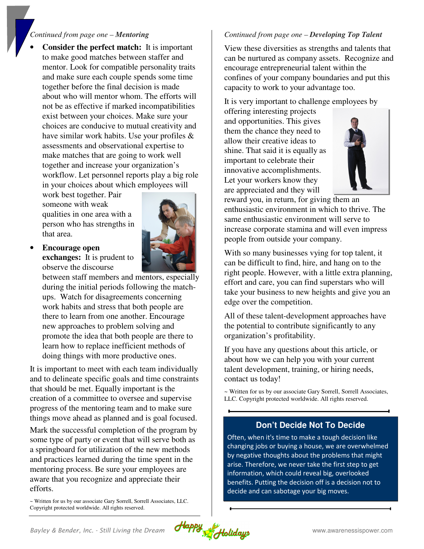#### *Continued from page one – Mentoring*

• **Consider the perfect match:** It is important to make good matches between staffer and mentor. Look for compatible personality traits and make sure each couple spends some time together before the final decision is made about who will mentor whom. The efforts will not be as effective if marked incompatibilities exist between your choices. Make sure your choices are conducive to mutual creativity and have similar work habits. Use your profiles & assessments and observational expertise to make matches that are going to work well together and increase your organization's workflow. Let personnel reports play a big role in your choices about which employees will

work best together. Pair someone with weak qualities in one area with a person who has strengths in that area.

#### • **Encourage open**

**exchanges:** It is prudent to observe the discourse

between staff members and mentors, especially during the initial periods following the matchups. Watch for disagreements concerning work habits and stress that both people are there to learn from one another. Encourage new approaches to problem solving and promote the idea that both people are there to learn how to replace inefficient methods of doing things with more productive ones.

It is important to meet with each team individually and to delineate specific goals and time constraints that should be met. Equally important is the creation of a committee to oversee and supervise progress of the mentoring team and to make sure things move ahead as planned and is goal focused.

Mark the successful completion of the program by some type of party or event that will serve both as a springboard for utilization of the new methods and practices learned during the time spent in the mentoring process. Be sure your employees are aware that you recognize and appreciate their efforts.

~ Written for us by our associate Gary Sorrell, Sorrell Associates, LLC. Copyright protected worldwide. All rights reserved.

#### *Continued from page one – Developing Top Talent*

View these diversities as strengths and talents that can be nurtured as company assets. Recognize and encourage entrepreneurial talent within the confines of your company boundaries and put this capacity to work to your advantage too.

It is very important to challenge employees by

offering interesting projects and opportunities. This gives them the chance they need to allow their creative ideas to shine. That said it is equally as important to celebrate their innovative accomplishments. Let your workers know they are appreciated and they will



reward you, in return, for giving them an enthusiastic environment in which to thrive. The same enthusiastic environment will serve to increase corporate stamina and will even impress people from outside your company.

With so many businesses vying for top talent, it can be difficult to find, hire, and hang on to the right people. However, with a little extra planning, effort and care, you can find superstars who will take your business to new heights and give you an edge over the competition.

All of these talent-development approaches have the potential to contribute significantly to any organization's profitability.

If you have any questions about this article, or about how we can help you with your current talent development, training, or hiring needs, contact us today!

~ Written for us by our associate Gary Sorrell, Sorrell Associates, LLC. Copyright protected worldwide. All rights reserved.

#### **Don't Decide Not To Decide**

Often, when it's time to make a tough decision like changing jobs or buying a house, we are overwhelmed by negative thoughts about the problems that might arise. Therefore, we never take the first step to get information, which could reveal big, overlooked benefits. Putting the decision off is a decision not to decide and can sabotage your big moves.

*Bayley & Bender, Inc. - Still Living the Dream Happy 2 Weblidays* www.awarenessispower.com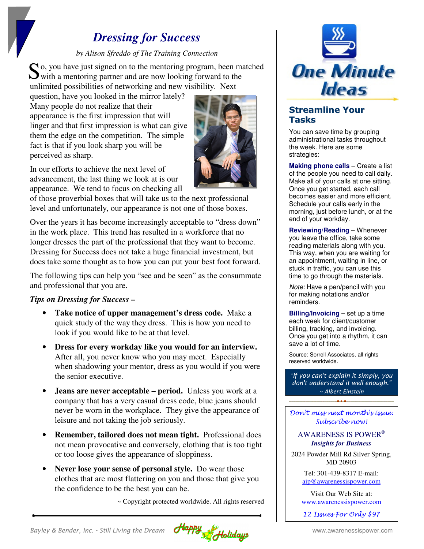## *Dressing for Success*

#### *by Alison Sfreddo of The Training Connection*

 $\bigcap$  o, you have just signed on to the mentoring program, been matched So, you have just signed on to the mentoring program, been may with a mentoring partner and are now looking forward to the unlimited possibilities of networking and new visibility. Next

question, have you looked in the mirror lately? Many people do not realize that their appearance is the first impression that will linger and that first impression is what can give them the edge on the competition. The simple fact is that if you look sharp you will be perceived as sharp.



In our efforts to achieve the next level of advancement, the last thing we look at is our appearance. We tend to focus on checking all

of those proverbial boxes that will take us to the next professional level and unfortunately, our appearance is not one of those boxes.

Over the years it has become increasingly acceptable to "dress down" in the work place. This trend has resulted in a workforce that no longer dresses the part of the professional that they want to become. Dressing for Success does not take a huge financial investment, but does take some thought as to how you can put your best foot forward.

The following tips can help you "see and be seen" as the consummate and professional that you are.

#### *Tips on Dressing for Success –*

- **Take notice of upper management's dress code.** Make a quick study of the way they dress. This is how you need to look if you would like to be at that level.
- **Dress for every workday like you would for an interview.** After all, you never know who you may meet. Especially when shadowing your mentor, dress as you would if you were the senior executive.
- **Jeans are never acceptable period.** Unless you work at a company that has a very casual dress code, blue jeans should never be worn in the workplace. They give the appearance of leisure and not taking the job seriously.
- **Remember, tailored does not mean tight.** Professional does not mean provocative and conversely, clothing that is too tight or too loose gives the appearance of sloppiness.
- **Never lose your sense of personal style.** Do wear those clothes that are most flattering on you and those that give you the confidence to be the best you can be.

~ Copyright protected worldwide. All rights reserved



### **Streamline Your Tasks**

You can save time by grouping administrational tasks throughout the week. Here are some strategies:

**Making phone calls** – Create a list of the people you need to call daily. Make all of your calls at one sitting. Once you get started, each call becomes easier and more efficient. Schedule your calls early in the morning, just before lunch, or at the end of your workday.

**Reviewing/Reading** – Whenever you leave the office, take some reading materials along with you. This way, when you are waiting for an appointment, waiting in line, or stuck in traffic, you can use this time to go through the materials.

Note: Have a pen/pencil with you for making notations and/or reminders.

**Billing/Invoicing** – set up a time each week for client/customer billing, tracking, and invoicing. Once you get into a rhythm, it can save a lot of time.

Source: Sorrell Associates, all rights reserved worldwide.

*"If you can't explain it simply, you don't understand it well enough." ~ Albert Einstein*

Don't miss next month's issue. Subscribe now!

AWARENESS IS POWER®  *Insights for Business* 

2024 Powder Mill Rd Silver Spring, MD 20903

> Tel: 301-439-8317 E-mail: aip@awarenessispower.com

> Visit Our Web Site at: www.awarenessispower.com

12 Issues For Only \$97